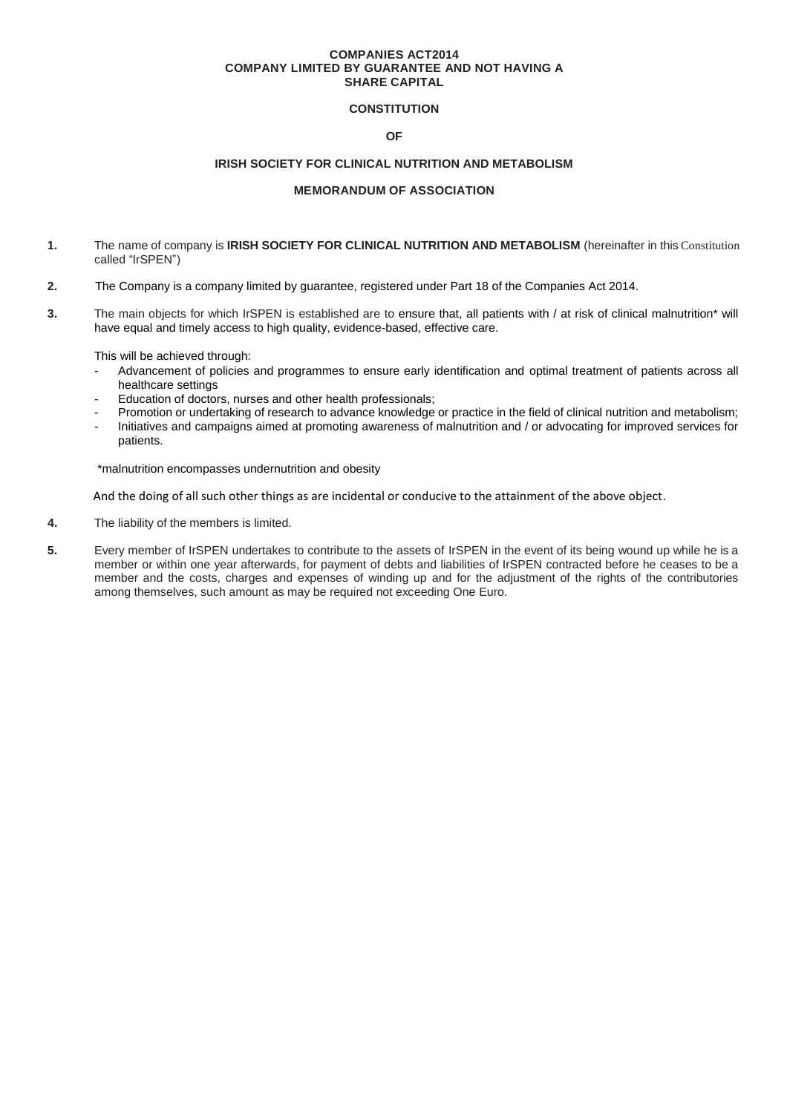#### **COMPANIES ACT2014 COMPANY LIMITED BY GUARANTEE AND NOT HAVING A SHARE CAPITAL**

# **CONSTITUTION**

# **OF**

## **IRISH SOCIETY FOR CLINICAL NUTRITION AND METABOLISM**

## **MEMORANDUM OF ASSOCIATION**

- **1.** The name of company is **IRISH SOCIETY FOR CLINICAL NUTRITION AND METABOLISM** (hereinafter in this Constitution called "IrSPEN")
- **2.** The Company is a company limited by guarantee, registered under Part 18 of the Companies Act 2014.
- **3.** The main objects for which IrSPEN is established are to ensure that, all patients with / at risk of clinical malnutrition\* will have equal and timely access to high quality, evidence-based, effective care.

This will be achieved through:

- Advancement of policies and programmes to ensure early identification and optimal treatment of patients across all healthcare settings
- Education of doctors, nurses and other health professionals;
- Promotion or undertaking of research to advance knowledge or practice in the field of clinical nutrition and metabolism;
- Initiatives and campaigns aimed at promoting awareness of malnutrition and / or advocating for improved services for patients.

\*malnutrition encompasses undernutrition and obesity

And the doing of all such other things as are incidental or conducive to the attainment of the above object.

- **4.** The liability of the members is limited.
- **5.** Every member of IrSPEN undertakes to contribute to the assets of IrSPEN in the event of its being wound up while he is a member or within one year afterwards, for payment of debts and liabilities of IrSPEN contracted before he ceases to be a member and the costs, charges and expenses of winding up and for the adjustment of the rights of the contributories among themselves, such amount as may be required not exceeding One Euro.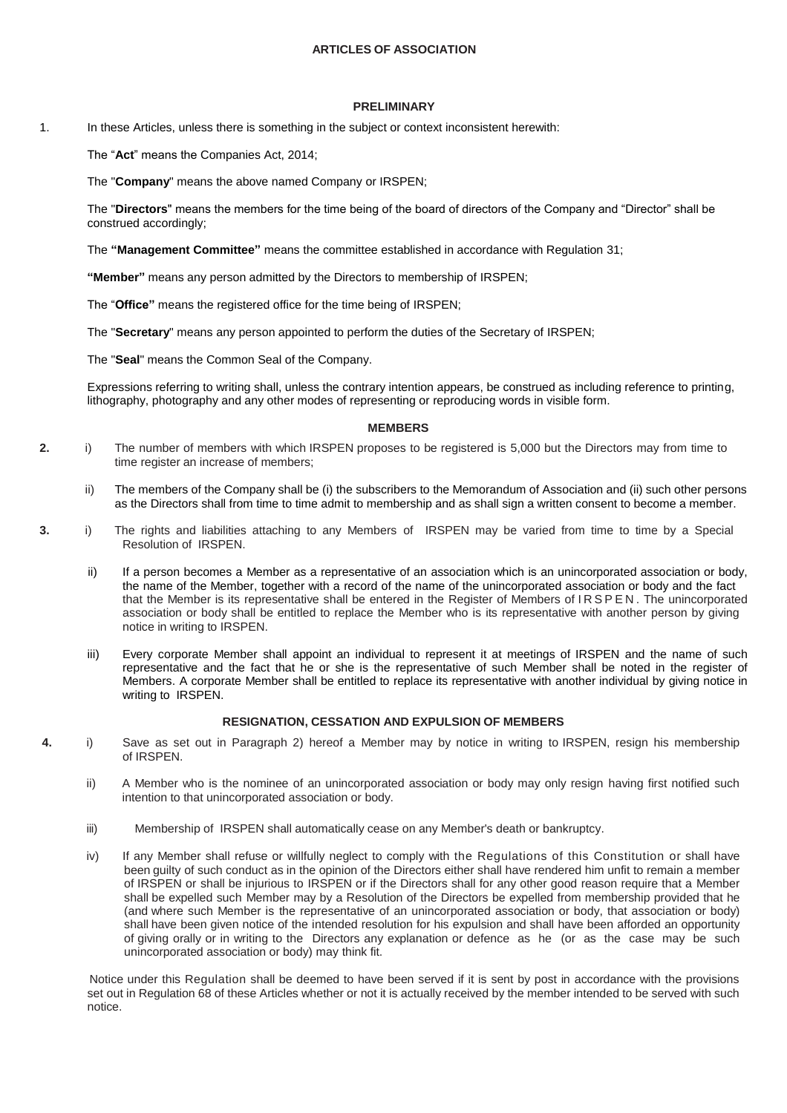## **ARTICLES OF ASSOCIATION**

#### **PRELIMINARY**

1. In these Articles, unless there is something in the subject or context inconsistent herewith:

The "**Act**" means the Companies Act, 2014;

The "**Company**" means the above named Company or IRSPEN;

The "**Directors**" means the members for the time being of the board of directors of the Company and "Director" shall be construed accordingly;

The **"Management Committee"** means the committee established in accordance with Regulation 31;

**"Member"** means any person admitted by the Directors to membership of IRSPEN;

The "**Office"** means the registered office for the time being of IRSPEN;

The "**Secretary**" means any person appointed to perform the duties of the Secretary of IRSPEN;

The "**Seal**" means the Common Seal of the Company.

Expressions referring to writing shall, unless the contrary intention appears, be construed as including reference to printing, lithography, photography and any other modes of representing or reproducing words in visible form.

## **MEMBERS**

- **2.** i) The number of members with which IRSPEN proposes to be registered is 5,000 but the Directors may from time to time register an increase of members;
	- ii) The members of the Company shall be (i) the subscribers to the Memorandum of Association and (ii) such other persons as the Directors shall from time to time admit to membership and as shall sign a written consent to become a member.
- **3.** i) The rights and liabilities attaching to any Members of IRSPEN may be varied from time to time by a Special Resolution of IRSPEN.
	- ii) If a person becomes a Member as a representative of an association which is an unincorporated association or body, the name of the Member, together with a record of the name of the unincorporated association or body and the fact that the Member is its representative shall be entered in the Register of Members of IRSPEN. The unincorporated association or body shall be entitled to replace the Member who is its representative with another person by giving notice in writing to IRSPEN.
	- iii) Every corporate Member shall appoint an individual to represent it at meetings of IRSPEN and the name of such representative and the fact that he or she is the representative of such Member shall be noted in the register of Members. A corporate Member shall be entitled to replace its representative with another individual by giving notice in writing to IRSPEN.

### **RESIGNATION, CESSATION AND EXPULSION OF MEMBERS**

- **4.** i) Save as set out in Paragraph 2) hereof a Member may by notice in writing to IRSPEN, resign his membership of IRSPEN.
	- ii) A Member who is the nominee of an unincorporated association or body may only resign having first notified such intention to that unincorporated association or body.
	- iii) Membership of IRSPEN shall automatically cease on any Member's death or bankruptcy.
	- iv) If any Member shall refuse or willfully neglect to comply with the Regulations of this Constitution or shall have been guilty of such conduct as in the opinion of the Directors either shall have rendered him unfit to remain a member of IRSPEN or shall be injurious to IRSPEN or if the Directors shall for any other good reason require that a Member shall be expelled such Member may by a Resolution of the Directors be expelled from membership provided that he (and where such Member is the representative of an unincorporated association or body, that association or body) shall have been given notice of the intended resolution for his expulsion and shall have been afforded an opportunity of giving orally or in writing to the Directors any explanation or defence as he (or as the case may be such unincorporated association or body) may think fit.

Notice under this Regulation shall be deemed to have been served if it is sent by post in accordance with the provisions set out in Regulation 68 of these Articles whether or not it is actually received by the member intended to be served with such notice.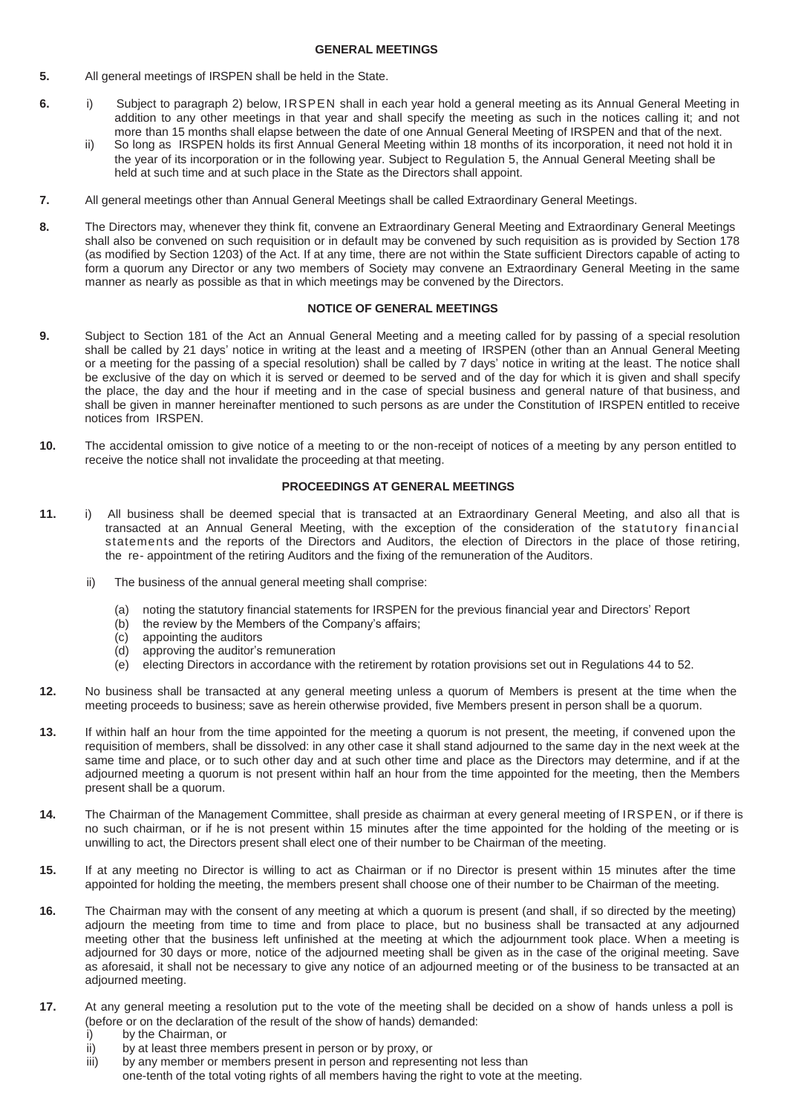### **GENERAL MEETINGS**

- **5.** All general meetings of IRSPEN shall be held in the State.
- **6.** i)Subject to paragraph 2) below, IRSPEN shall in each year hold a general meeting as its Annual General Meeting in addition to any other meetings in that year and shall specify the meeting as such in the notices calling it; and not more than 15 months shall elapse between the date of one Annual General Meeting of IRSPEN and that of the next.
	- ii)So long as IRSPEN holds its first Annual General Meeting within 18 months of its incorporation, it need not hold it in the year of its incorporation or in the following year. Subject to Regulation 5, the Annual General Meeting shall be held at such time and at such place in the State as the Directors shall appoint.
- **7.** All general meetings other than Annual General Meetings shall be called Extraordinary General Meetings.
- **8.** The Directors may, whenever they think fit, convene an Extraordinary General Meeting and Extraordinary General Meetings shall also be convened on such requisition or in default may be convened by such requisition as is provided by Section 178 (as modified by Section 1203) of the Act. If at any time, there are not within the State sufficient Directors capable of acting to form a quorum any Director or any two members of Society may convene an Extraordinary General Meeting in the same manner as nearly as possible as that in which meetings may be convened by the Directors.

### **NOTICE OF GENERAL MEETINGS**

- **9.** Subject to Section 181 of the Act an Annual General Meeting and a meeting called for by passing of a special resolution shall be called by 21 days' notice in writing at the least and a meeting of IRSPEN (other than an Annual General Meeting or a meeting for the passing of a special resolution) shall be called by 7 days' notice in writing at the least. The notice shall be exclusive of the day on which it is served or deemed to be served and of the day for which it is given and shall specify the place, the day and the hour if meeting and in the case of special business and general nature of that business, and shall be given in manner hereinafter mentioned to such persons as are under the Constitution of IRSPEN entitled to receive notices from IRSPEN.
- **10.** The accidental omission to give notice of a meeting to or the non-receipt of notices of a meeting by any person entitled to receive the notice shall not invalidate the proceeding at that meeting.

## **PROCEEDINGS AT GENERAL MEETINGS**

- **11.** i)All business shall be deemed special that is transacted at an Extraordinary General Meeting, and also all that is transacted at an Annual General Meeting, with the exception of the consideration of the statutory financial statements and the reports of the Directors and Auditors, the election of Directors in the place of those retiring, the re- appointment of the retiring Auditors and the fixing of the remuneration of the Auditors.
	- ii) The business of the annual general meeting shall comprise:
		- (a) noting the statutory financial statements for IRSPEN for the previous financial year and Directors' Report
		- (b) the review by the Members of the Company's affairs;
		- (c) appointing the auditors
		- (d) approving the auditor's remuneration
		- (e) electing Directors in accordance with the retirement by rotation provisions set out in Regulations 44 to 52.
- **12.** No business shall be transacted at any general meeting unless a quorum of Members is present at the time when the meeting proceeds to business; save as herein otherwise provided, five Members present in person shall be a quorum.
- **13.** If within half an hour from the time appointed for the meeting a quorum is not present, the meeting, if convened upon the requisition of members, shall be dissolved: in any other case it shall stand adjourned to the same day in the next week at the same time and place, or to such other day and at such other time and place as the Directors may determine, and if at the adjourned meeting a quorum is not present within half an hour from the time appointed for the meeting, then the Members present shall be a quorum.
- **14.** The Chairman of the Management Committee, shall preside as chairman at every general meeting of IRSPEN, or if there is no such chairman, or if he is not present within 15 minutes after the time appointed for the holding of the meeting or is unwilling to act, the Directors present shall elect one of their number to be Chairman of the meeting.
- **15.** If at any meeting no Director is willing to act as Chairman or if no Director is present within 15 minutes after the time appointed for holding the meeting, the members present shall choose one of their number to be Chairman of the meeting.
- **16.** The Chairman may with the consent of any meeting at which a quorum is present (and shall, if so directed by the meeting) adjourn the meeting from time to time and from place to place, but no business shall be transacted at any adjourned meeting other that the business left unfinished at the meeting at which the adjournment took place. When a meeting is adjourned for 30 days or more, notice of the adjourned meeting shall be given as in the case of the original meeting. Save as aforesaid, it shall not be necessary to give any notice of an adjourned meeting or of the business to be transacted at an adjourned meeting.
- **17.** At any general meeting a resolution put to the vote of the meeting shall be decided on a show of hands unless a poll is (before or on the declaration of the result of the show of hands) demanded:
	- i) by the Chairman, or
	- ii) by at least three members present in person or by proxy, or
	- iii) by any member or members present in person and representing not less than one-tenth of the total voting rights of all members having the right to vote at the meeting.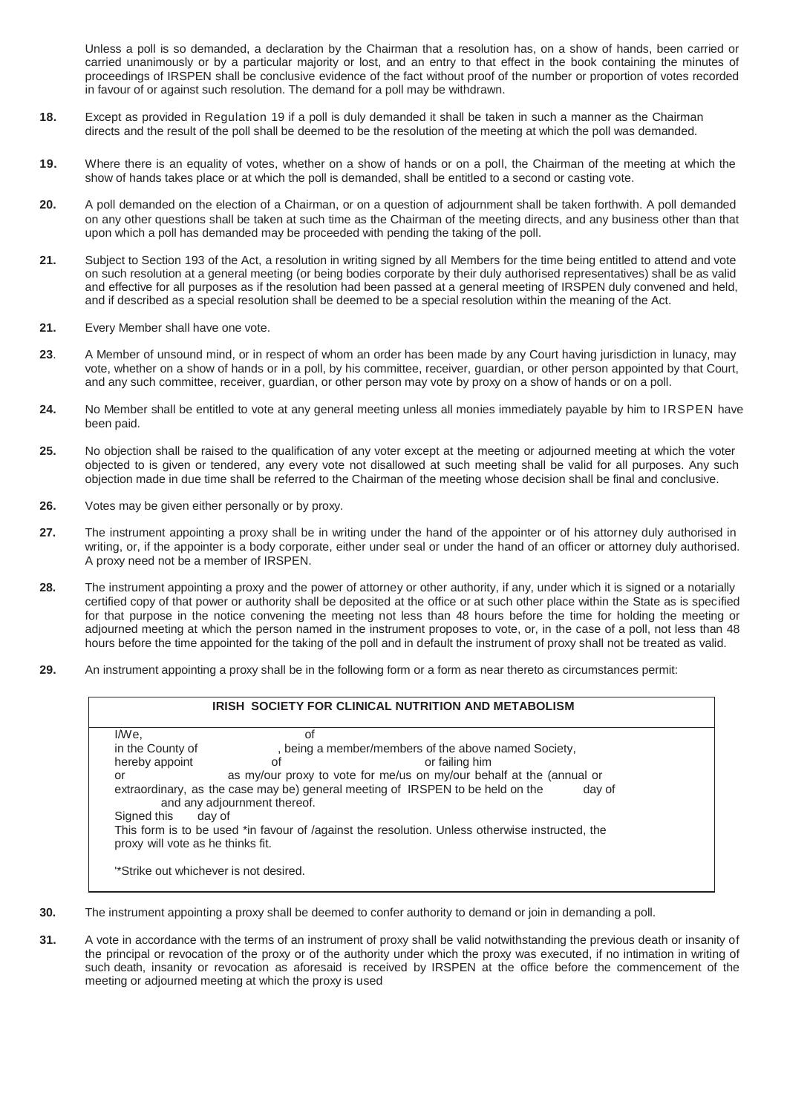Unless a poll is so demanded, a declaration by the Chairman that a resolution has, on a show of hands, been carried or carried unanimously or by a particular majority or lost, and an entry to that effect in the book containing the minutes of proceedings of IRSPEN shall be conclusive evidence of the fact without proof of the number or proportion of votes recorded in favour of or against such resolution. The demand for a poll may be withdrawn.

- **18.** Except as provided in Regulation 19 if a poll is duly demanded it shall be taken in such a manner as the Chairman directs and the result of the poll shall be deemed to be the resolution of the meeting at which the poll was demanded.
- **19.** Where there is an equality of votes, whether on a show of hands or on a poll, the Chairman of the meeting at which the show of hands takes place or at which the poll is demanded, shall be entitled to a second or casting vote.
- **20.** A poll demanded on the election of a Chairman, or on a question of adjournment shall be taken forthwith. A poll demanded on any other questions shall be taken at such time as the Chairman of the meeting directs, and any business other than that upon which a poll has demanded may be proceeded with pending the taking of the poll.
- **21.** Subject to Section 193 of the Act, a resolution in writing signed by all Members for the time being entitled to attend and vote on such resolution at a general meeting (or being bodies corporate by their duly authorised representatives) shall be as valid and effective for all purposes as if the resolution had been passed at a general meeting of IRSPEN duly convened and held, and if described as a special resolution shall be deemed to be a special resolution within the meaning of the Act.
- **21.** Every Member shall have one vote.
- **23**. A Member of unsound mind, or in respect of whom an order has been made by any Court having jurisdiction in lunacy, may vote, whether on a show of hands or in a poll, by his committee, receiver, guardian, or other person appointed by that Court, and any such committee, receiver, guardian, or other person may vote by proxy on a show of hands or on a poll.
- **24.** No Member shall be entitled to vote at any general meeting unless all monies immediately payable by him to IRSPEN have been paid.
- **25.** No objection shall be raised to the qualification of any voter except at the meeting or adjourned meeting at which the voter objected to is given or tendered, any every vote not disallowed at such meeting shall be valid for all purposes. Any such objection made in due time shall be referred to the Chairman of the meeting whose decision shall be final and conclusive.
- **26.** Votes may be given either personally or by proxy.
- **27.** The instrument appointing a proxy shall be in writing under the hand of the appointer or of his attorney duly authorised in writing, or, if the appointer is a body corporate, either under seal or under the hand of an officer or attorney duly authorised. A proxy need not be a member of IRSPEN.
- **28.** The instrument appointing a proxy and the power of attorney or other authority, if any, under which it is signed or a notarially certified copy of that power or authority shall be deposited at the office or at such other place within the State as is specified for that purpose in the notice convening the meeting not less than 48 hours before the time for holding the meeting or adjourned meeting at which the person named in the instrument proposes to vote, or, in the case of a poll, not less than 48 hours before the time appointed for the taking of the poll and in default the instrument of proxy shall not be treated as valid.
- **29.** An instrument appointing a proxy shall be in the following form or a form as near thereto as circumstances permit:

| <b>IRISH SOCIETY FOR CLINICAL NUTRITION AND METABOLISM</b>                                                                           |                                                                      |                |
|--------------------------------------------------------------------------------------------------------------------------------------|----------------------------------------------------------------------|----------------|
| I/We,                                                                                                                                | οf                                                                   |                |
| in the County of                                                                                                                     | , being a member/members of the above named Society,                 |                |
| hereby appoint                                                                                                                       | οf                                                                   | or failing him |
| or                                                                                                                                   | as my/our proxy to vote for me/us on my/our behalf at the (annual or |                |
| extraordinary, as the case may be) general meeting of IRSPEN to be held on the<br>day of<br>and any adjournment thereof.             |                                                                      |                |
| Signed this<br>day of                                                                                                                |                                                                      |                |
| This form is to be used *in favour of /against the resolution. Unless otherwise instructed, the<br>proxy will vote as he thinks fit. |                                                                      |                |
| "Strike out whichever is not desired.                                                                                                |                                                                      |                |

- **30.** The instrument appointing a proxy shall be deemed to confer authority to demand or join in demanding a poll.
- **31.** A vote in accordance with the terms of an instrument of proxy shall be valid notwithstanding the previous death or insanity of the principal or revocation of the proxy or of the authority under which the proxy was executed, if no intimation in writing of such death, insanity or revocation as aforesaid is received by IRSPEN at the office before the commencement of the meeting or adjourned meeting at which the proxy is used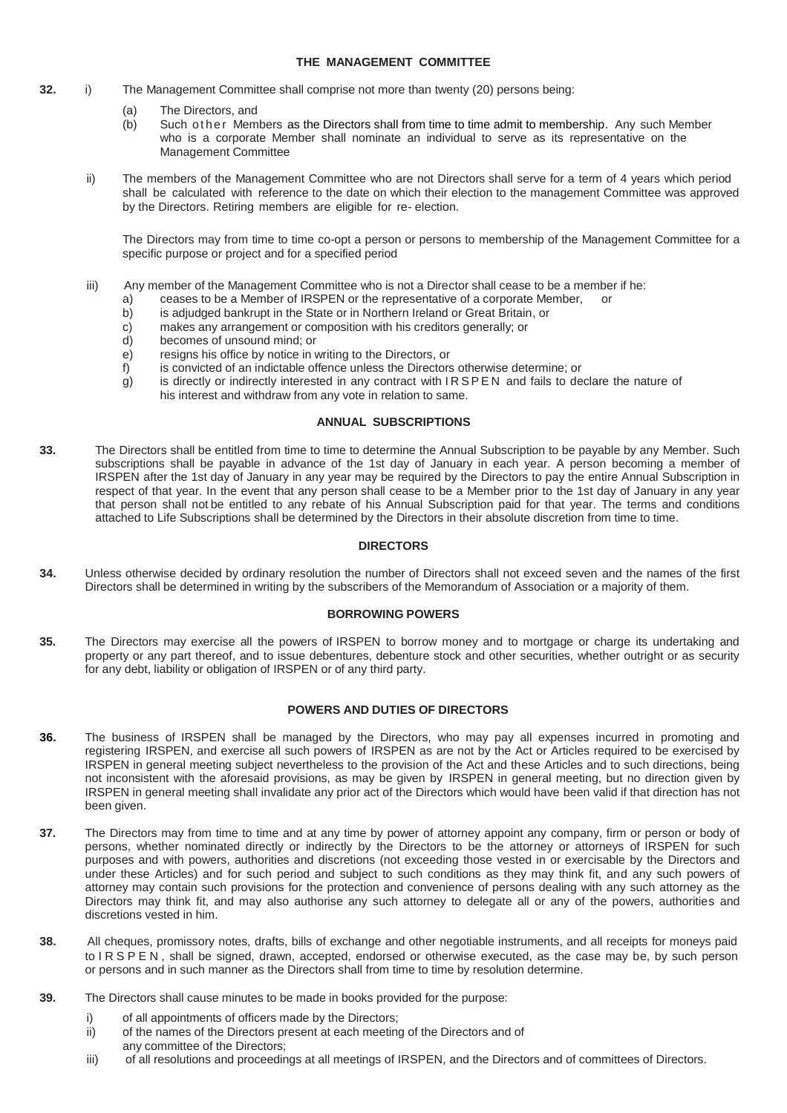## **THE MANAGEMENT COMMITTEE**

- **32.** i) The Management Committee shall comprise not more than twenty (20) persons being:
	- (a) The Directors, and
	- (b) Such ot he r Members as the Directors shall from time to time admit to membership. Any such Member who is a corporate Member shall nominate an individual to serve as its representative on the Management Committee
	- ii) The members of the Management Committee who are not Directors shall serve for a term of 4 years which period shall be calculated with reference to the date on which their election to the management Committee was approved by the Directors. Retiring members are eligible for re- election.

The Directors may from time to time co-opt a person or persons to membership of the Management Committee for a specific purpose or project and for a specified period

- iii) Any member of the Management Committee who is not a Director shall cease to be a member if he:
	- a) ceases to be a Member of IRSPEN or the representative of a corporate Member, or b) is adjudged bankrupt in the State or in Northern Ireland or Great Britain, or
		- b) is adjudged bankrupt in the State or in Northern Ireland or Great Britain, or c) makes any arrangement or composition with his creditors generally; or
		- c) makes any arrangement or composition with his creditors generally; or d) becomes of unsound mind; or
		- becomes of unsound mind; or
		- e) resigns his office by notice in writing to the Directors, or
		- f) is convicted of an indictable offence unless the Directors otherwise determine; or
		- g) is directly or indirectly interested in any contract with IRSPEN and fails to declare the nature of his interest and withdraw from any vote in relation to same.

### **ANNUAL SUBSCRIPTIONS**

**33.** The Directors shall be entitled from time to time to determine the Annual Subscription to be payable by any Member. Such subscriptions shall be payable in advance of the 1st day of January in each year. A person becoming a member of IRSPEN after the 1st day of January in any year may be required by the Directors to pay the entire Annual Subscription in respect of that year. In the event that any person shall cease to be a Member prior to the 1st day of January in any year that person shall not be entitled to any rebate of his Annual Subscription paid for that year. The terms and conditions attached to Life Subscriptions shall be determined by the Directors in their absolute discretion from time to time.

# **DIRECTORS**

**34.** Unless otherwise decided by ordinary resolution the number of Directors shall not exceed seven and the names of the first Directors shall be determined in writing by the subscribers of the Memorandum of Association or a majority of them.

### **BORROWING POWERS**

**35.** The Directors may exercise all the powers of IRSPEN to borrow money and to mortgage or charge its undertaking and property or any part thereof, and to issue debentures, debenture stock and other securities, whether outright or as security for any debt, liability or obligation of IRSPEN or of any third party.

### **POWERS AND DUTIES OF DIRECTORS**

- **36.** The business of IRSPEN shall be managed by the Directors, who may pay all expenses incurred in promoting and registering IRSPEN, and exercise all such powers of IRSPEN as are not by the Act or Articles required to be exercised by IRSPEN in general meeting subject nevertheless to the provision of the Act and these Articles and to such directions, being not inconsistent with the aforesaid provisions, as may be given by IRSPEN in general meeting, but no direction given by IRSPEN in general meeting shall invalidate any prior act of the Directors which would have been valid if that direction has not been given.
- **37.** The Directors may from time to time and at any time by power of attorney appoint any company, firm or person or body of persons, whether nominated directly or indirectly by the Directors to be the attorney or attorneys of IRSPEN for such purposes and with powers, authorities and discretions (not exceeding those vested in or exercisable by the Directors and under these Articles) and for such period and subject to such conditions as they may think fit, and any such powers of attorney may contain such provisions for the protection and convenience of persons dealing with any such attorney as the Directors may think fit, and may also authorise any such attorney to delegate all or any of the powers, authorities and discretions vested in him.
- **38.** All cheques, promissory notes, drafts, bills of exchange and other negotiable instruments, and all receipts for moneys paid to IRSPEN, shall be signed, drawn, accepted, endorsed or otherwise executed, as the case may be, by such person or persons and in such manner as the Directors shall from time to time by resolution determine.
- **39.** The Directors shall cause minutes to be made in books provided for the purpose:
	- i) of all appointments of officers made by the Directors;
	- ii) of the names of the Directors present at each meeting of the Directors and of
	- any committee of the Directors;
	- iii) of all resolutions and proceedings at all meetings of IRSPEN, and the Directors and of committees of Directors.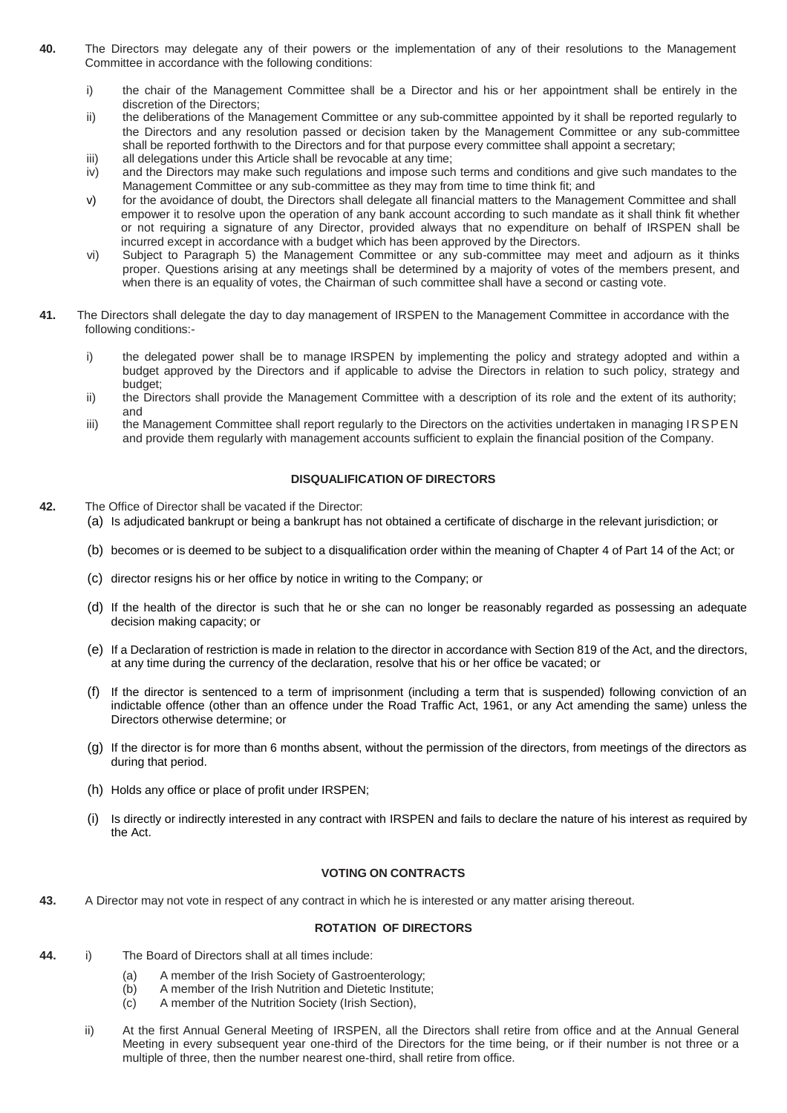- **40.** The Directors may delegate any of their powers or the implementation of any of their resolutions to the Management Committee in accordance with the following conditions:
	- i) the chair of the Management Committee shall be a Director and his or her appointment shall be entirely in the discretion of the Directors;
	- ii) the deliberations of the Management Committee or any sub-committee appointed by it shall be reported regularly to the Directors and any resolution passed or decision taken by the Management Committee or any sub-committee shall be reported forthwith to the Directors and for that purpose every committee shall appoint a secretary;
	- iii) all delegations under this Article shall be revocable at any time;
	- iv) and the Directors may make such regulations and impose such terms and conditions and give such mandates to the Management Committee or any sub-committee as they may from time to time think fit; and
	- v) for the avoidance of doubt, the Directors shall delegate all financial matters to the Management Committee and shall empower it to resolve upon the operation of any bank account according to such mandate as it shall think fit whether or not requiring a signature of any Director, provided always that no expenditure on behalf of IRSPEN shall be incurred except in accordance with a budget which has been approved by the Directors.
	- vi) Subject to Paragraph 5) the Management Committee or any sub-committee may meet and adjourn as it thinks proper. Questions arising at any meetings shall be determined by a majority of votes of the members present, and when there is an equality of votes, the Chairman of such committee shall have a second or casting vote.
- **41.** The Directors shall delegate the day to day management of IRSPEN to the Management Committee in accordance with the following conditions:
	- i) the delegated power shall be to manage IRSPEN by implementing the policy and strategy adopted and within a budget approved by the Directors and if applicable to advise the Directors in relation to such policy, strategy and budget;
	- ii) the Directors shall provide the Management Committee with a description of its role and the extent of its authority; and
	- iii) the Management Committee shall report regularly to the Directors on the activities undertaken in managing IRSPEN and provide them regularly with management accounts sufficient to explain the financial position of the Company.

## **DISQUALIFICATION OF DIRECTORS**

- **42.** The Office of Director shall be vacated if the Director:
	- (a) Is adjudicated bankrupt or being a bankrupt has not obtained a certificate of discharge in the relevant jurisdiction; or
	- (b) becomes or is deemed to be subject to a disqualification order within the meaning of Chapter 4 of Part 14 of the Act; or
	- (c) director resigns his or her office by notice in writing to the Company; or
	- (d) If the health of the director is such that he or she can no longer be reasonably regarded as possessing an adequate decision making capacity; or
	- (e) If a Declaration of restriction is made in relation to the director in accordance with Section 819 of the Act, and the directors, at any time during the currency of the declaration, resolve that his or her office be vacated; or
	- (f) If the director is sentenced to a term of imprisonment (including a term that is suspended) following conviction of an indictable offence (other than an offence under the Road Traffic Act, 1961, or any Act amending the same) unless the Directors otherwise determine; or
	- (g) If the director is for more than 6 months absent, without the permission of the directors, from meetings of the directors as during that period.
	- (h) Holds any office or place of profit under IRSPEN;
	- (i) Is directly or indirectly interested in any contract with IRSPEN and fails to declare the nature of his interest as required by the Act.

### **VOTING ON CONTRACTS**

**43.** A Director may not vote in respect of any contract in which he is interested or any matter arising thereout.

### **ROTATION OF DIRECTORS**

- **44.** i) The Board of Directors shall at all times include:
	- (a) A member of the Irish Society of Gastroenterology;
	- (b) A member of the Irish Nutrition and Dietetic Institute;
	- (c) A member of the Nutrition Society (Irish Section),
	- ii) At the first Annual General Meeting of IRSPEN, all the Directors shall retire from office and at the Annual General Meeting in every subsequent year one-third of the Directors for the time being, or if their number is not three or a multiple of three, then the number nearest one-third, shall retire from office.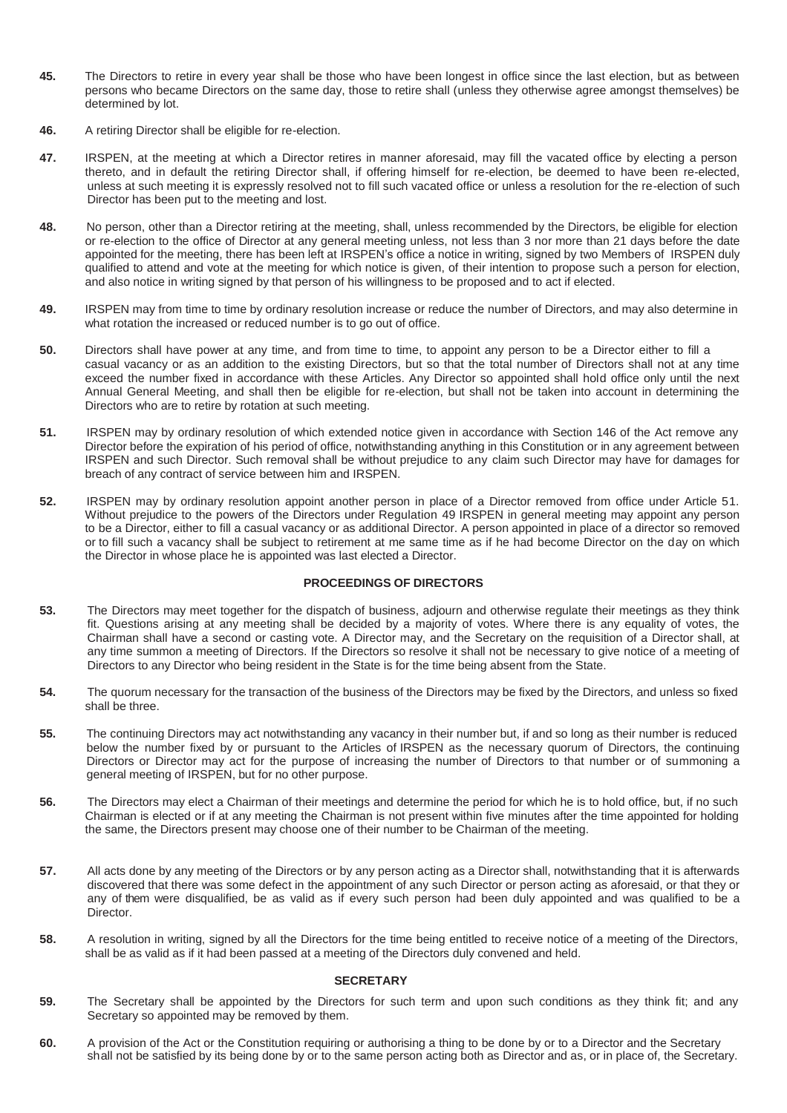- **45.** The Directors to retire in every year shall be those who have been longest in office since the last election, but as between persons who became Directors on the same day, those to retire shall (unless they otherwise agree amongst themselves) be determined by lot.
- **46.** A retiring Director shall be eligible for re-election.
- **47.** IRSPEN, at the meeting at which a Director retires in manner aforesaid, may fill the vacated office by electing a person thereto, and in default the retiring Director shall, if offering himself for re-election, be deemed to have been re-elected, unless at such meeting it is expressly resolved not to fill such vacated office or unless a resolution for the re-election of such Director has been put to the meeting and lost.
- **48.** No person, other than a Director retiring at the meeting, shall, unless recommended by the Directors, be eligible for election or re-election to the office of Director at any general meeting unless, not less than 3 nor more than 21 days before the date appointed for the meeting, there has been left at IRSPEN's office a notice in writing, signed by two Members of IRSPEN duly qualified to attend and vote at the meeting for which notice is given, of their intention to propose such a person for election, and also notice in writing signed by that person of his willingness to be proposed and to act if elected.
- **49.** IRSPEN may from time to time by ordinary resolution increase or reduce the number of Directors, and may also determine in what rotation the increased or reduced number is to go out of office.
- **50.** Directors shall have power at any time, and from time to time, to appoint any person to be a Director either to fill a casual vacancy or as an addition to the existing Directors, but so that the total number of Directors shall not at any time exceed the number fixed in accordance with these Articles. Any Director so appointed shall hold office only until the next Annual General Meeting, and shall then be eligible for re-election, but shall not be taken into account in determining the Directors who are to retire by rotation at such meeting.
- **51.** IRSPEN may by ordinary resolution of which extended notice given in accordance with Section 146 of the Act remove any Director before the expiration of his period of office, notwithstanding anything in this Constitution or in any agreement between IRSPEN and such Director. Such removal shall be without prejudice to any claim such Director may have for damages for breach of any contract of service between him and IRSPEN.
- **52.** IRSPEN may by ordinary resolution appoint another person in place of a Director removed from office under Article 51. Without prejudice to the powers of the Directors under Regulation 49 IRSPEN in general meeting may appoint any person to be a Director, either to fill a casual vacancy or as additional Director. A person appointed in place of a director so removed or to fill such a vacancy shall be subject to retirement at me same time as if he had become Director on the day on which the Director in whose place he is appointed was last elected a Director.

### **PROCEEDINGS OF DIRECTORS**

- **53.** The Directors may meet together for the dispatch of business, adjourn and otherwise regulate their meetings as they think fit. Questions arising at any meeting shall be decided by a majority of votes. Where there is any equality of votes, the Chairman shall have a second or casting vote. A Director may, and the Secretary on the requisition of a Director shall, at any time summon a meeting of Directors. If the Directors so resolve it shall not be necessary to give notice of a meeting of Directors to any Director who being resident in the State is for the time being absent from the State.
- **54.** The quorum necessary for the transaction of the business of the Directors may be fixed by the Directors, and unless so fixed shall be three.
- **55.** The continuing Directors may act notwithstanding any vacancy in their number but, if and so long as their number is reduced below the number fixed by or pursuant to the Articles of IRSPEN as the necessary quorum of Directors, the continuing Directors or Director may act for the purpose of increasing the number of Directors to that number or of summoning a general meeting of IRSPEN, but for no other purpose.
- **56.** The Directors may elect a Chairman of their meetings and determine the period for which he is to hold office, but, if no such Chairman is elected or if at any meeting the Chairman is not present within five minutes after the time appointed for holding the same, the Directors present may choose one of their number to be Chairman of the meeting.
- **57.** All acts done by any meeting of the Directors or by any person acting as a Director shall, notwithstanding that it is afterwards discovered that there was some defect in the appointment of any such Director or person acting as aforesaid, or that they or any of them were disqualified, be as valid as if every such person had been duly appointed and was qualified to be a Director.
- **58.** A resolution in writing, signed by all the Directors for the time being entitled to receive notice of a meeting of the Directors, shall be as valid as if it had been passed at a meeting of the Directors duly convened and held.

## **SECRETARY**

- **59.** The Secretary shall be appointed by the Directors for such term and upon such conditions as they think fit; and any Secretary so appointed may be removed by them.
- **60.** A provision of the Act or the Constitution requiring or authorising a thing to be done by or to a Director and the Secretary shall not be satisfied by its being done by or to the same person acting both as Director and as, or in place of, the Secretary.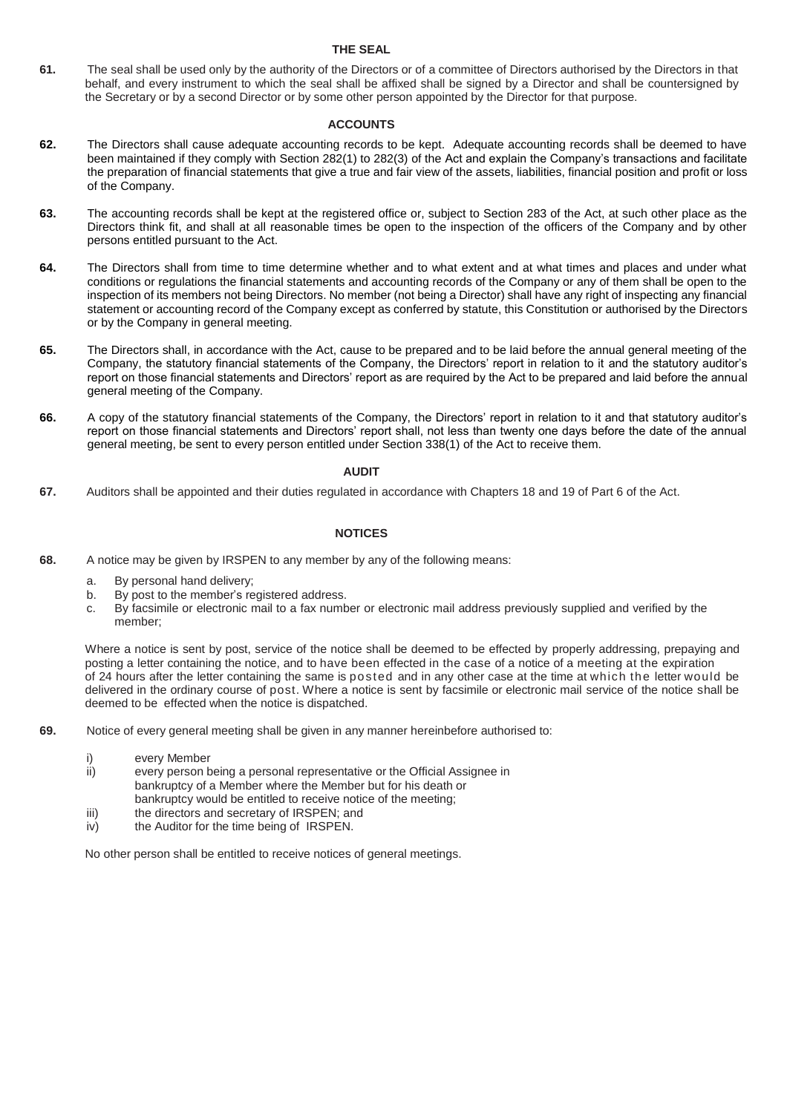# **THE SEAL**

**61.** The seal shall be used only by the authority of the Directors or of a committee of Directors authorised by the Directors in that behalf, and every instrument to which the seal shall be affixed shall be signed by a Director and shall be countersigned by the Secretary or by a second Director or by some other person appointed by the Director for that purpose.

# **ACCOUNTS**

- **62.** The Directors shall cause adequate accounting records to be kept. Adequate accounting records shall be deemed to have been maintained if they comply with Section 282(1) to 282(3) of the Act and explain the Company's transactions and facilitate the preparation of financial statements that give a true and fair view of the assets, liabilities, financial position and profit or loss of the Company.
- **63.** The accounting records shall be kept at the registered office or, subject to Section 283 of the Act, at such other place as the Directors think fit, and shall at all reasonable times be open to the inspection of the officers of the Company and by other persons entitled pursuant to the Act.
- **64.** The Directors shall from time to time determine whether and to what extent and at what times and places and under what conditions or regulations the financial statements and accounting records of the Company or any of them shall be open to the inspection of its members not being Directors. No member (not being a Director) shall have any right of inspecting any financial statement or accounting record of the Company except as conferred by statute, this Constitution or authorised by the Directors or by the Company in general meeting.
- **65.** The Directors shall, in accordance with the Act, cause to be prepared and to be laid before the annual general meeting of the Company, the statutory financial statements of the Company, the Directors' report in relation to it and the statutory auditor's report on those financial statements and Directors' report as are required by the Act to be prepared and laid before the annual general meeting of the Company.
- **66.** A copy of the statutory financial statements of the Company, the Directors' report in relation to it and that statutory auditor's report on those financial statements and Directors' report shall, not less than twenty one days before the date of the annual general meeting, be sent to every person entitled under Section 338(1) of the Act to receive them.

### **AUDIT**

**67.** Auditors shall be appointed and their duties regulated in accordance with Chapters 18 and 19 of Part 6 of the Act.

# **NOTICES**

- **68.** A notice may be given by IRSPEN to any member by any of the following means:
	- a. By personal hand delivery;
	- b. By post to the member's registered address.
	- c. By facsimile or electronic mail to a fax number or electronic mail address previously supplied and verified by the member;

Where a notice is sent by post, service of the notice shall be deemed to be effected by properly addressing, prepaying and posting a letter containing the notice, and to have been effected in the case of a notice of a meeting at the expiration of 24 hours after the letter containing the same is posted and in any other case at the time at which the letter would be delivered in the ordinary course of post. Where a notice is sent by facsimile or electronic mail service of the notice shall be deemed to be effected when the notice is dispatched.

- **69.** Notice of every general meeting shall be given in any manner hereinbefore authorised to:
	- i) every Member<br>ii) every person b
	- every person being a personal representative or the Official Assignee in bankruptcy of a Member where the Member but for his death or bankruptcy would be entitled to receive notice of the meeting;
	- iii) the directors and secretary of IRSPEN; and
	- iv) the Auditor for the time being of IRSPEN.

No other person shall be entitled to receive notices of general meetings.